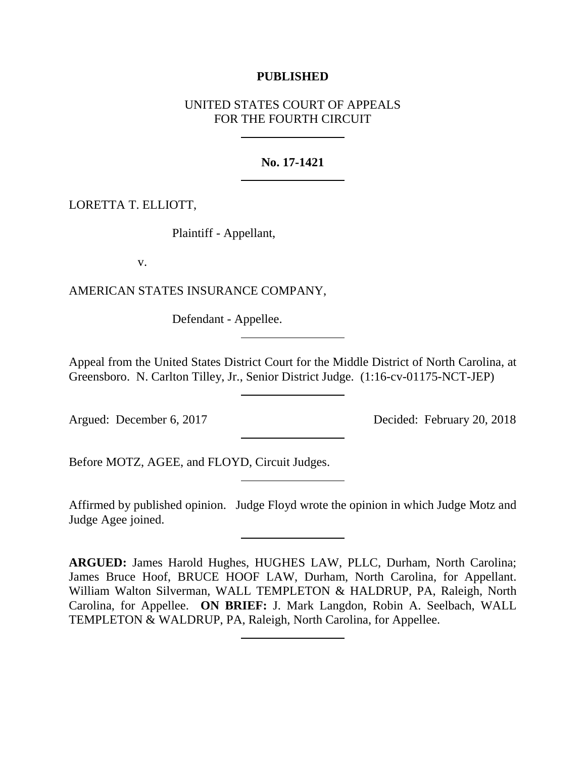### **PUBLISHED**

# UNITED STATES COURT OF APPEALS FOR THE FOURTH CIRCUIT

### **No. 17-1421**

## LORETTA T. ELLIOTT,

Plaintiff - Appellant,

v.

AMERICAN STATES INSURANCE COMPANY,

Defendant - Appellee.

Appeal from the United States District Court for the Middle District of North Carolina, at Greensboro. N. Carlton Tilley, Jr., Senior District Judge. (1:16-cv-01175-NCT-JEP)

Argued: December 6, 2017 Decided: February 20, 2018

Before MOTZ, AGEE, and FLOYD, Circuit Judges.

Affirmed by published opinion. Judge Floyd wrote the opinion in which Judge Motz and Judge Agee joined.

**ARGUED:** James Harold Hughes, HUGHES LAW, PLLC, Durham, North Carolina; James Bruce Hoof, BRUCE HOOF LAW, Durham, North Carolina, for Appellant. William Walton Silverman, WALL TEMPLETON & HALDRUP, PA, Raleigh, North Carolina, for Appellee. **ON BRIEF:** J. Mark Langdon, Robin A. Seelbach, WALL TEMPLETON & WALDRUP, PA, Raleigh, North Carolina, for Appellee.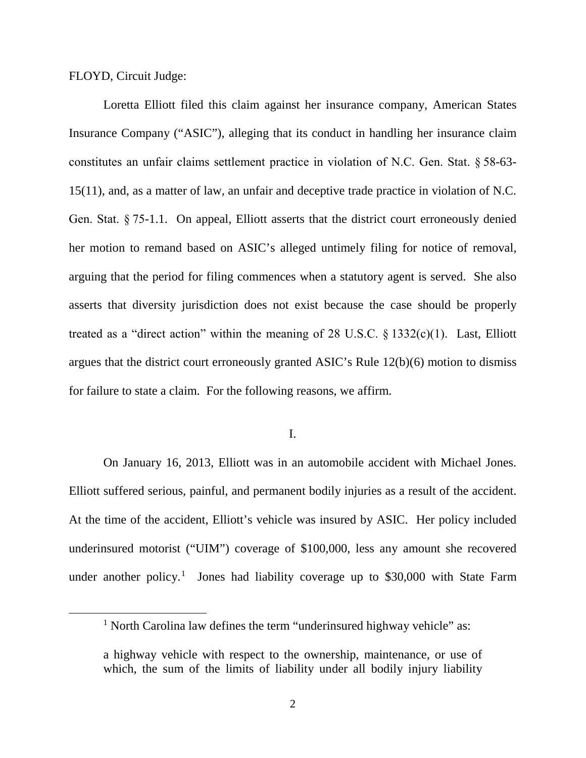FLOYD, Circuit Judge:

Loretta Elliott filed this claim against her insurance company, American States Insurance Company ("ASIC"), alleging that its conduct in handling her insurance claim constitutes an unfair claims settlement practice in violation of N.C. Gen. Stat. § 58-63- 15(11), and, as a matter of law, an unfair and deceptive trade practice in violation of N.C. Gen. Stat. § 75-1.1. On appeal, Elliott asserts that the district court erroneously denied her motion to remand based on ASIC's alleged untimely filing for notice of removal, arguing that the period for filing commences when a statutory agent is served. She also asserts that diversity jurisdiction does not exist because the case should be properly treated as a "direct action" within the meaning of 28 U.S.C.  $\S$  1332(c)(1). Last, Elliott argues that the district court erroneously granted ASIC's Rule 12(b)(6) motion to dismiss for failure to state a claim. For the following reasons, we affirm.

I.

On January 16, 2013, Elliott was in an automobile accident with Michael Jones. Elliott suffered serious, painful, and permanent bodily injuries as a result of the accident. At the time of the accident, Elliott's vehicle was insured by ASIC. Her policy included underinsured motorist ("UIM") coverage of \$100,000, less any amount she recovered under another policy.<sup>[1](#page-1-0)</sup> Jones had liability coverage up to \$30,000 with State Farm

<span id="page-1-0"></span><sup>&</sup>lt;sup>1</sup> North Carolina law defines the term "underinsured highway vehicle" as:

a highway vehicle with respect to the ownership, maintenance, or use of which, the sum of the limits of liability under all bodily injury liability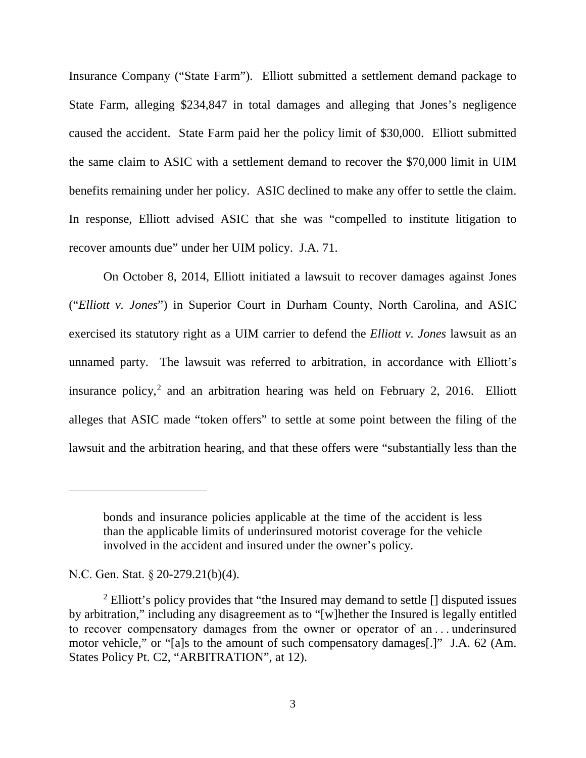Insurance Company ("State Farm"). Elliott submitted a settlement demand package to State Farm, alleging \$234,847 in total damages and alleging that Jones's negligence caused the accident. State Farm paid her the policy limit of \$30,000. Elliott submitted the same claim to ASIC with a settlement demand to recover the \$70,000 limit in UIM benefits remaining under her policy. ASIC declined to make any offer to settle the claim. In response, Elliott advised ASIC that she was "compelled to institute litigation to recover amounts due" under her UIM policy. J.A. 71.

On October 8, 2014, Elliott initiated a lawsuit to recover damages against Jones ("*Elliott v. Jones*") in Superior Court in Durham County, North Carolina, and ASIC exercised its statutory right as a UIM carrier to defend the *Elliott v. Jones* lawsuit as an unnamed party. The lawsuit was referred to arbitration, in accordance with Elliott's insurance policy, [2](#page-2-0) and an arbitration hearing was held on February 2, 2016. Elliott alleges that ASIC made "token offers" to settle at some point between the filing of the lawsuit and the arbitration hearing, and that these offers were "substantially less than the

 $\overline{a}$ 

bonds and insurance policies applicable at the time of the accident is less than the applicable limits of underinsured motorist coverage for the vehicle involved in the accident and insured under the owner's policy.

N.C. Gen. Stat. § 20-279.21(b)(4).

<span id="page-2-0"></span><sup>&</sup>lt;sup>2</sup> Elliott's policy provides that "the Insured may demand to settle [] disputed issues by arbitration," including any disagreement as to "[w]hether the Insured is legally entitled to recover compensatory damages from the owner or operator of an . . . underinsured motor vehicle," or "[a]s to the amount of such compensatory damages[.]" J.A. 62 (Am. States Policy Pt. C2, "ARBITRATION", at 12).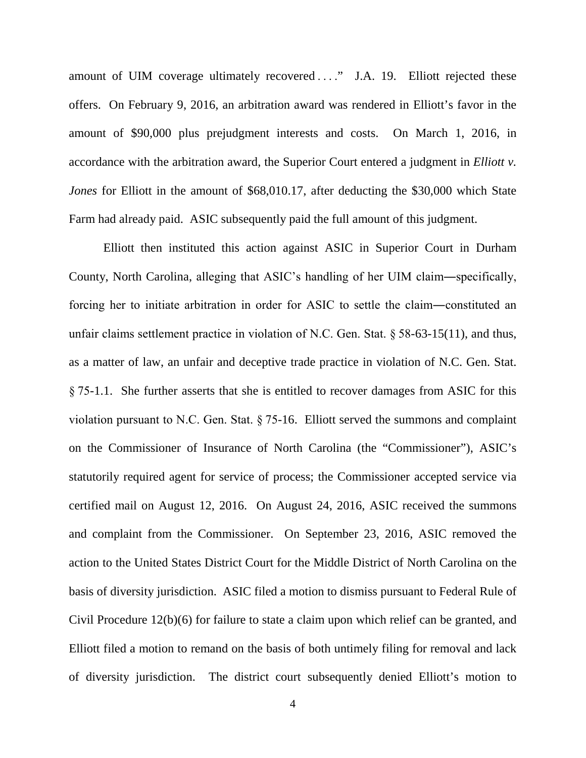amount of UIM coverage ultimately recovered . . . ." J.A. 19. Elliott rejected these offers. On February 9, 2016, an arbitration award was rendered in Elliott's favor in the amount of \$90,000 plus prejudgment interests and costs. On March 1, 2016, in accordance with the arbitration award, the Superior Court entered a judgment in *Elliott v. Jones* for Elliott in the amount of \$68,010.17, after deducting the \$30,000 which State Farm had already paid. ASIC subsequently paid the full amount of this judgment.

Elliott then instituted this action against ASIC in Superior Court in Durham County, North Carolina, alleging that ASIC's handling of her UIM claim―specifically, forcing her to initiate arbitration in order for ASIC to settle the claim―constituted an unfair claims settlement practice in violation of N.C. Gen. Stat. § 58-63-15(11), and thus, as a matter of law, an unfair and deceptive trade practice in violation of N.C. Gen. Stat. § 75-1.1. She further asserts that she is entitled to recover damages from ASIC for this violation pursuant to N.C. Gen. Stat. § 75-16. Elliott served the summons and complaint on the Commissioner of Insurance of North Carolina (the "Commissioner"), ASIC's statutorily required agent for service of process; the Commissioner accepted service via certified mail on August 12, 2016. On August 24, 2016, ASIC received the summons and complaint from the Commissioner. On September 23, 2016, ASIC removed the action to the United States District Court for the Middle District of North Carolina on the basis of diversity jurisdiction. ASIC filed a motion to dismiss pursuant to Federal Rule of Civil Procedure 12(b)(6) for failure to state a claim upon which relief can be granted, and Elliott filed a motion to remand on the basis of both untimely filing for removal and lack of diversity jurisdiction. The district court subsequently denied Elliott's motion to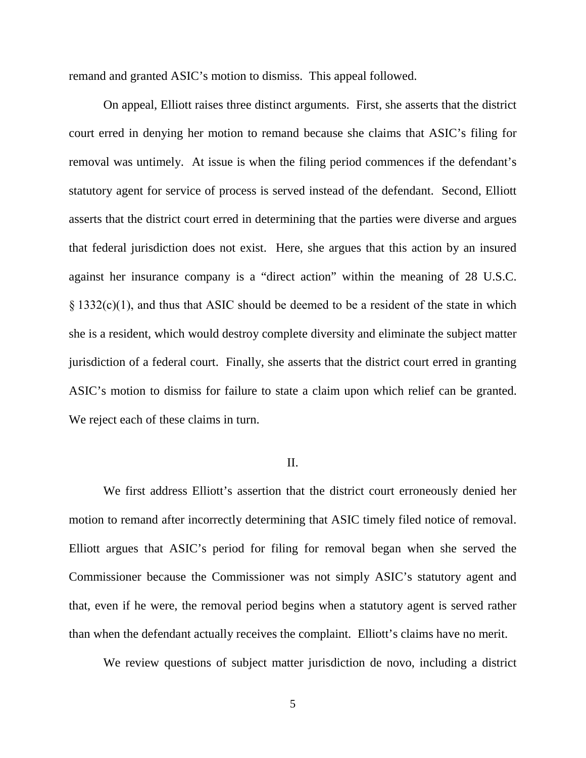remand and granted ASIC's motion to dismiss. This appeal followed.

On appeal, Elliott raises three distinct arguments. First, she asserts that the district court erred in denying her motion to remand because she claims that ASIC's filing for removal was untimely. At issue is when the filing period commences if the defendant's statutory agent for service of process is served instead of the defendant. Second, Elliott asserts that the district court erred in determining that the parties were diverse and argues that federal jurisdiction does not exist. Here, she argues that this action by an insured against her insurance company is a "direct action" within the meaning of 28 U.S.C. § 1332(c)(1), and thus that ASIC should be deemed to be a resident of the state in which she is a resident, which would destroy complete diversity and eliminate the subject matter jurisdiction of a federal court. Finally, she asserts that the district court erred in granting ASIC's motion to dismiss for failure to state a claim upon which relief can be granted. We reject each of these claims in turn.

#### II.

We first address Elliott's assertion that the district court erroneously denied her motion to remand after incorrectly determining that ASIC timely filed notice of removal. Elliott argues that ASIC's period for filing for removal began when she served the Commissioner because the Commissioner was not simply ASIC's statutory agent and that, even if he were, the removal period begins when a statutory agent is served rather than when the defendant actually receives the complaint. Elliott's claims have no merit.

We review questions of subject matter jurisdiction de novo, including a district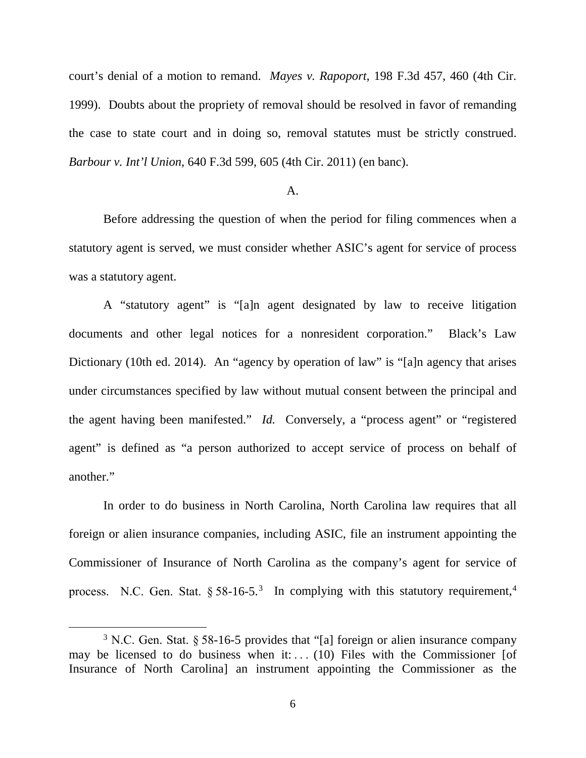court's denial of a motion to remand. *Mayes v. Rapoport*, 198 F.3d 457, 460 (4th Cir. 1999). Doubts about the propriety of removal should be resolved in favor of remanding the case to state court and in doing so, removal statutes must be strictly construed. *Barbour v. Int'l Union*, 640 F.3d 599, 605 (4th Cir. 2011) (en banc).

#### A.

Before addressing the question of when the period for filing commences when a statutory agent is served, we must consider whether ASIC's agent for service of process was a statutory agent.

A "statutory agent" is "[a]n agent designated by law to receive litigation documents and other legal notices for a nonresident corporation." Black's Law Dictionary (10th ed. 2014). An "agency by operation of law" is "[a]n agency that arises under circumstances specified by law without mutual consent between the principal and the agent having been manifested." *Id.* Conversely, a "process agent" or "registered agent" is defined as "a person authorized to accept service of process on behalf of another."

<span id="page-5-1"></span>In order to do business in North Carolina, North Carolina law requires that all foreign or alien insurance companies, including ASIC, file an instrument appointing the Commissioner of Insurance of North Carolina as the company's agent for service of process. N.C. Gen. Stat.  $\S 58-16-5.^3$  $\S 58-16-5.^3$  In complying with this statutory requirement,<sup>[4](#page-5-1)</sup>

<span id="page-5-0"></span> <sup>3</sup> N.C. Gen. Stat. § 58-16-5 provides that "[a] foreign or alien insurance company may be licensed to do business when it: . . . . (10) Files with the Commissioner [of Insurance of North Carolina] an instrument appointing the Commissioner as the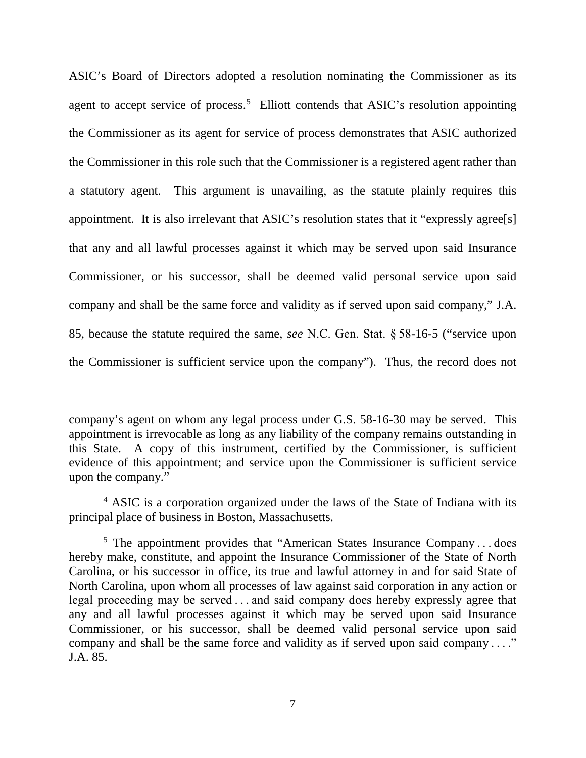ASIC's Board of Directors adopted a resolution nominating the Commissioner as its agent to accept service of process.<sup>[5](#page-6-0)</sup> Elliott contends that ASIC's resolution appointing the Commissioner as its agent for service of process demonstrates that ASIC authorized the Commissioner in this role such that the Commissioner is a registered agent rather than a statutory agent. This argument is unavailing, as the statute plainly requires this appointment. It is also irrelevant that ASIC's resolution states that it "expressly agree[s] that any and all lawful processes against it which may be served upon said Insurance Commissioner, or his successor, shall be deemed valid personal service upon said company and shall be the same force and validity as if served upon said company," J.A. 85, because the statute required the same, *see* N.C. Gen. Stat. § 58-16-5 ("service upon the Commissioner is sufficient service upon the company"). Thus, the record does not

 $\overline{a}$ 

company's agent on whom any legal process under G.S. 58-16-30 may be served. This appointment is irrevocable as long as any liability of the company remains outstanding in this State. A copy of this instrument, certified by the Commissioner, is sufficient evidence of this appointment; and service upon the Commissioner is sufficient service upon the company."

<sup>&</sup>lt;sup>4</sup> ASIC is a corporation organized under the laws of the State of Indiana with its principal place of business in Boston, Massachusetts.

<span id="page-6-0"></span><sup>5</sup> The appointment provides that "American States Insurance Company . . . does hereby make, constitute, and appoint the Insurance Commissioner of the State of North Carolina, or his successor in office, its true and lawful attorney in and for said State of North Carolina, upon whom all processes of law against said corporation in any action or legal proceeding may be served . . . and said company does hereby expressly agree that any and all lawful processes against it which may be served upon said Insurance Commissioner, or his successor, shall be deemed valid personal service upon said company and shall be the same force and validity as if served upon said company . . .." J.A. 85.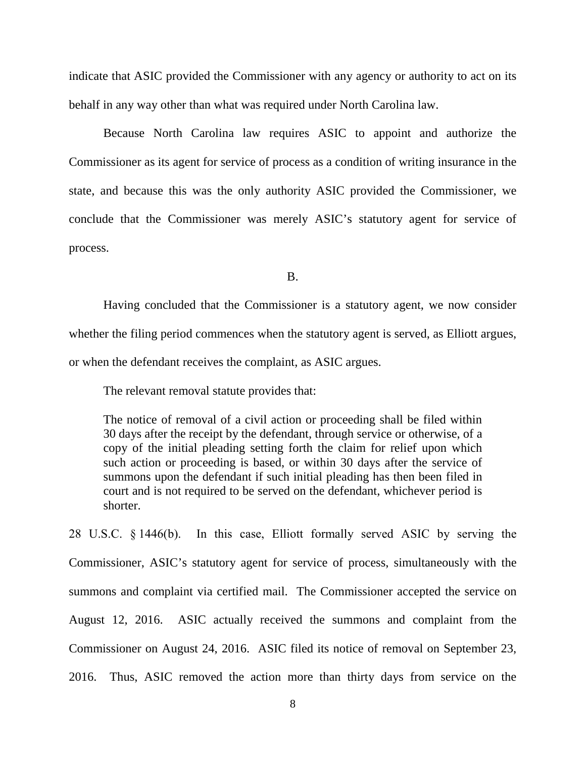indicate that ASIC provided the Commissioner with any agency or authority to act on its behalf in any way other than what was required under North Carolina law.

Because North Carolina law requires ASIC to appoint and authorize the Commissioner as its agent for service of process as a condition of writing insurance in the state, and because this was the only authority ASIC provided the Commissioner, we conclude that the Commissioner was merely ASIC's statutory agent for service of process.

B.

Having concluded that the Commissioner is a statutory agent, we now consider whether the filing period commences when the statutory agent is served, as Elliott argues, or when the defendant receives the complaint, as ASIC argues.

The relevant removal statute provides that:

The notice of removal of a civil action or proceeding shall be filed within 30 days after the receipt by the defendant, through service or otherwise, of a copy of the initial pleading setting forth the claim for relief upon which such action or proceeding is based, or within 30 days after the service of summons upon the defendant if such initial pleading has then been filed in court and is not required to be served on the defendant, whichever period is shorter.

28 U.S.C. § 1446(b). In this case, Elliott formally served ASIC by serving the Commissioner, ASIC's statutory agent for service of process, simultaneously with the summons and complaint via certified mail. The Commissioner accepted the service on August 12, 2016. ASIC actually received the summons and complaint from the Commissioner on August 24, 2016. ASIC filed its notice of removal on September 23, 2016. Thus, ASIC removed the action more than thirty days from service on the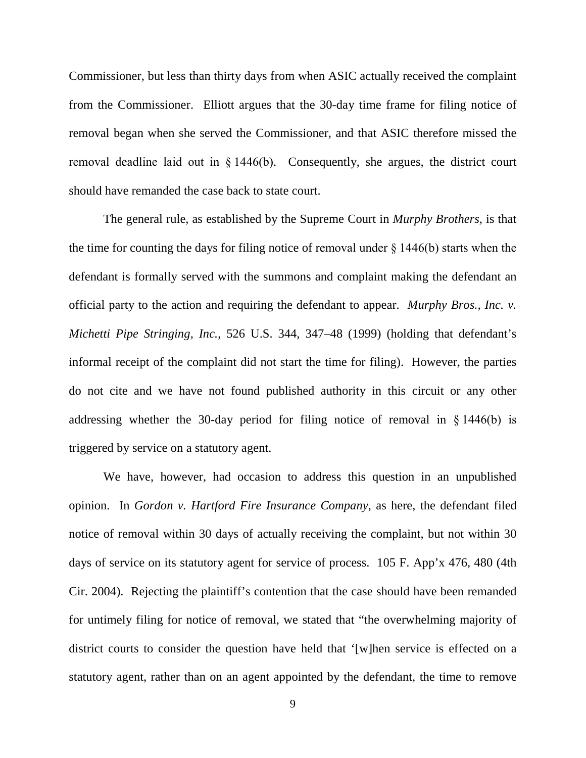Commissioner, but less than thirty days from when ASIC actually received the complaint from the Commissioner. Elliott argues that the 30-day time frame for filing notice of removal began when she served the Commissioner, and that ASIC therefore missed the removal deadline laid out in  $\S$  1446(b). Consequently, she argues, the district court should have remanded the case back to state court.

The general rule, as established by the Supreme Court in *Murphy Brothers*, is that the time for counting the days for filing notice of removal under  $\S 1446(b)$  starts when the defendant is formally served with the summons and complaint making the defendant an official party to the action and requiring the defendant to appear. *Murphy Bros., Inc. v. Michetti Pipe Stringing, Inc.*, 526 U.S. 344, 347–48 (1999) (holding that defendant's informal receipt of the complaint did not start the time for filing). However, the parties do not cite and we have not found published authority in this circuit or any other addressing whether the 30-day period for filing notice of removal in § 1446(b) is triggered by service on a statutory agent.

We have, however, had occasion to address this question in an unpublished opinion. In *Gordon v. Hartford Fire Insurance Company*, as here, the defendant filed notice of removal within 30 days of actually receiving the complaint, but not within 30 days of service on its statutory agent for service of process. 105 F. App'x 476, 480 (4th Cir. 2004). Rejecting the plaintiff's contention that the case should have been remanded for untimely filing for notice of removal, we stated that "the overwhelming majority of district courts to consider the question have held that '[w]hen service is effected on a statutory agent, rather than on an agent appointed by the defendant, the time to remove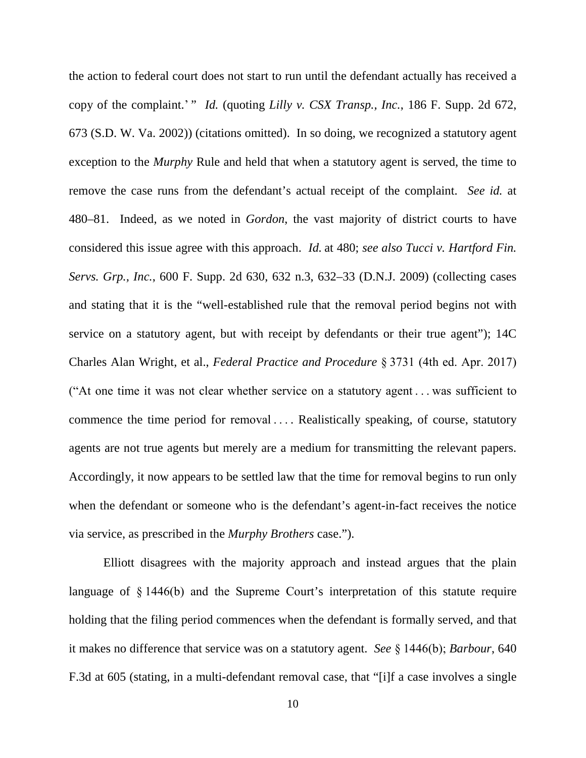the action to federal court does not start to run until the defendant actually has received a copy of the complaint.' " *Id.* (quoting *Lilly v. CSX Transp., Inc.*, 186 F. Supp. 2d 672, 673 (S.D. W. Va. 2002)) (citations omitted). In so doing, we recognized a statutory agent exception to the *Murphy* Rule and held that when a statutory agent is served, the time to remove the case runs from the defendant's actual receipt of the complaint. *See id.* at 480–81. Indeed, as we noted in *Gordon*, the vast majority of district courts to have considered this issue agree with this approach. *Id.* at 480; *see also Tucci v. Hartford Fin. Servs. Grp., Inc.*, 600 F. Supp. 2d 630, 632 n.3, 632–33 (D.N.J. 2009) (collecting cases and stating that it is the "well-established rule that the removal period begins not with service on a statutory agent, but with receipt by defendants or their true agent"); 14C Charles Alan Wright, et al., *Federal Practice and Procedure* § 3731 (4th ed. Apr. 2017) ("At one time it was not clear whether service on a statutory agent . . . was sufficient to commence the time period for removal . . . . Realistically speaking, of course, statutory agents are not true agents but merely are a medium for transmitting the relevant papers. Accordingly, it now appears to be settled law that the time for removal begins to run only when the defendant or someone who is the defendant's agent-in-fact receives the notice via service, as prescribed in the *Murphy Brothers* case.").

Elliott disagrees with the majority approach and instead argues that the plain language of § 1446(b) and the Supreme Court's interpretation of this statute require holding that the filing period commences when the defendant is formally served, and that it makes no difference that service was on a statutory agent. *See* § 1446(b); *Barbour*, 640 F.3d at 605 (stating, in a multi-defendant removal case, that "[i]f a case involves a single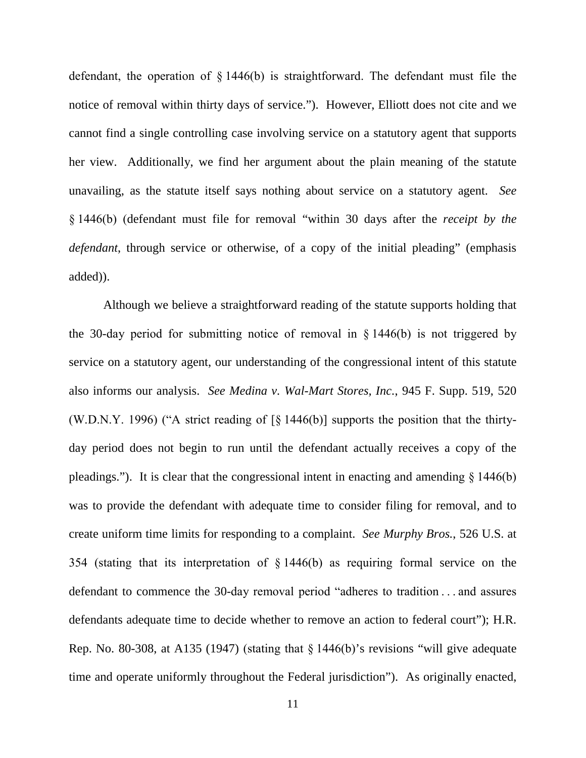defendant, the operation of § 1446(b) is straightforward. The defendant must file the notice of removal within thirty days of service."). However, Elliott does not cite and we cannot find a single controlling case involving service on a statutory agent that supports her view. Additionally, we find her argument about the plain meaning of the statute unavailing, as the statute itself says nothing about service on a statutory agent. *See*  § 1446(b) (defendant must file for removal "within 30 days after the *receipt by the defendant*, through service or otherwise, of a copy of the initial pleading" (emphasis added)).

Although we believe a straightforward reading of the statute supports holding that the 30-day period for submitting notice of removal in § 1446(b) is not triggered by service on a statutory agent, our understanding of the congressional intent of this statute also informs our analysis. *See Medina v. Wal-Mart Stores, Inc.*, 945 F. Supp. 519, 520 (W.D.N.Y. 1996) ("A strict reading of [§ 1446(b)] supports the position that the thirtyday period does not begin to run until the defendant actually receives a copy of the pleadings."). It is clear that the congressional intent in enacting and amending § 1446(b) was to provide the defendant with adequate time to consider filing for removal, and to create uniform time limits for responding to a complaint. *See Murphy Bros.*, 526 U.S. at 354 (stating that its interpretation of § 1446(b) as requiring formal service on the defendant to commence the 30-day removal period "adheres to tradition . . . and assures defendants adequate time to decide whether to remove an action to federal court"); H.R. Rep. No. 80-308, at A135 (1947) (stating that  $\S$  1446(b)'s revisions "will give adequate time and operate uniformly throughout the Federal jurisdiction"). As originally enacted,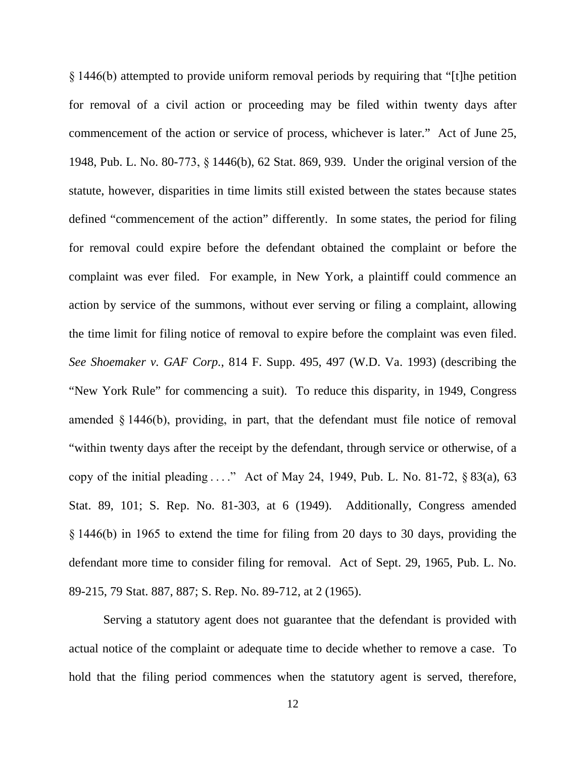§ 1446(b) attempted to provide uniform removal periods by requiring that "[t]he petition for removal of a civil action or proceeding may be filed within twenty days after commencement of the action or service of process, whichever is later." Act of June 25, 1948, Pub. L. No. 80-773, § 1446(b), 62 Stat. 869, 939. Under the original version of the statute, however, disparities in time limits still existed between the states because states defined "commencement of the action" differently. In some states, the period for filing for removal could expire before the defendant obtained the complaint or before the complaint was ever filed. For example, in New York, a plaintiff could commence an action by service of the summons, without ever serving or filing a complaint, allowing the time limit for filing notice of removal to expire before the complaint was even filed. *See Shoemaker v. GAF Corp.*, 814 F. Supp. 495, 497 (W.D. Va. 1993) (describing the "New York Rule" for commencing a suit). To reduce this disparity, in 1949, Congress amended § 1446(b), providing, in part, that the defendant must file notice of removal "within twenty days after the receipt by the defendant, through service or otherwise, of a copy of the initial pleading . . . ." Act of May 24, 1949, Pub. L. No. 81-72, § 83(a), 63 Stat. 89, 101; S. Rep. No. 81-303, at 6 (1949). Additionally, Congress amended § 1446(b) in 1965 to extend the time for filing from 20 days to 30 days, providing the defendant more time to consider filing for removal. Act of Sept. 29, 1965, Pub. L. No. 89-215, 79 Stat. 887, 887; S. Rep. No. 89-712, at 2 (1965).

Serving a statutory agent does not guarantee that the defendant is provided with actual notice of the complaint or adequate time to decide whether to remove a case. To hold that the filing period commences when the statutory agent is served, therefore,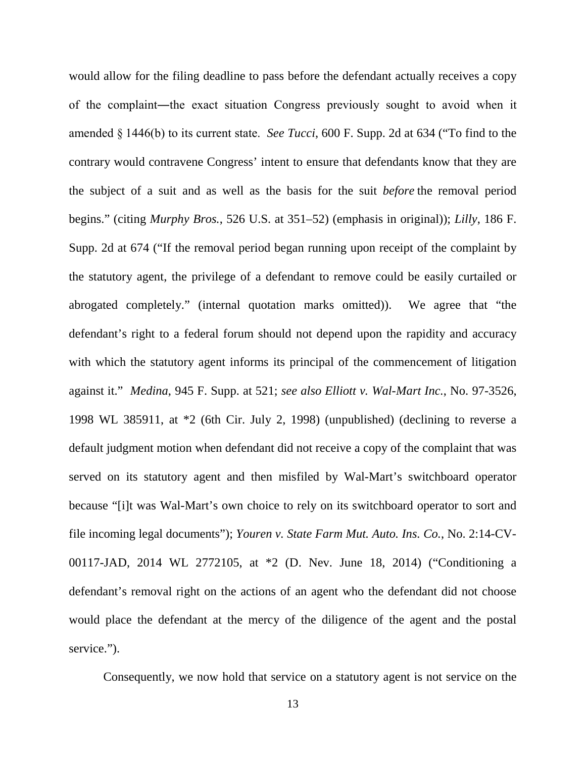would allow for the filing deadline to pass before the defendant actually receives a copy of the complaint―the exact situation Congress previously sought to avoid when it amended § 1446(b) to its current state. *See Tucci*, 600 F. Supp. 2d at 634 ("To find to the contrary would contravene Congress' intent to ensure that defendants know that they are the subject of a suit and as well as the basis for the suit *before* the removal period begins." (citing *Murphy Bros.*, 526 U.S. at 351–52) (emphasis in original)); *Lilly*, 186 F. Supp. 2d at 674 ("If the removal period began running upon receipt of the complaint by the statutory agent, the privilege of a defendant to remove could be easily curtailed or abrogated completely." (internal quotation marks omitted)). We agree that "the defendant's right to a federal forum should not depend upon the rapidity and accuracy with which the statutory agent informs its principal of the commencement of litigation against it." *Medina*, 945 F. Supp. at 521; *see also Elliott v. Wal-Mart Inc.*, No. 97-3526, 1998 WL 385911, at \*2 (6th Cir. July 2, 1998) (unpublished) (declining to reverse a default judgment motion when defendant did not receive a copy of the complaint that was served on its statutory agent and then misfiled by Wal-Mart's switchboard operator because "[i]t was Wal-Mart's own choice to rely on its switchboard operator to sort and file incoming legal documents"); *Youren v. State Farm Mut. Auto. Ins. Co.*, No. 2:14-CV-00117-JAD, 2014 WL 2772105, at \*2 (D. Nev. June 18, 2014) ("Conditioning a defendant's removal right on the actions of an agent who the defendant did not choose would place the defendant at the mercy of the diligence of the agent and the postal service.").

Consequently, we now hold that service on a statutory agent is not service on the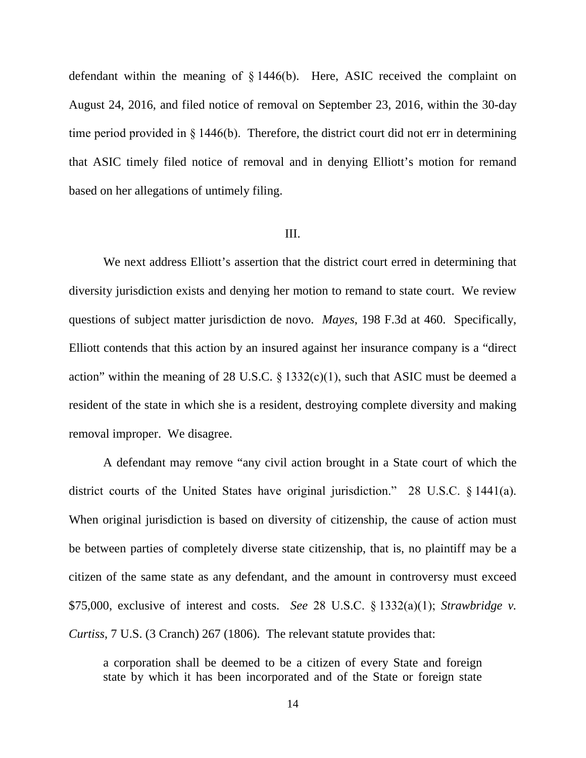defendant within the meaning of § 1446(b). Here, ASIC received the complaint on August 24, 2016, and filed notice of removal on September 23, 2016, within the 30-day time period provided in § 1446(b). Therefore, the district court did not err in determining that ASIC timely filed notice of removal and in denying Elliott's motion for remand based on her allegations of untimely filing.

#### III.

We next address Elliott's assertion that the district court erred in determining that diversity jurisdiction exists and denying her motion to remand to state court. We review questions of subject matter jurisdiction de novo. *Mayes*, 198 F.3d at 460. Specifically, Elliott contends that this action by an insured against her insurance company is a "direct action" within the meaning of 28 U.S.C.  $\S$  1332(c)(1), such that ASIC must be deemed a resident of the state in which she is a resident, destroying complete diversity and making removal improper. We disagree.

A defendant may remove "any civil action brought in a State court of which the district courts of the United States have original jurisdiction." 28 U.S.C. § 1441(a). When original jurisdiction is based on diversity of citizenship, the cause of action must be between parties of completely diverse state citizenship, that is, no plaintiff may be a citizen of the same state as any defendant, and the amount in controversy must exceed \$75,000, exclusive of interest and costs. *See* 28 U.S.C. § 1332(a)(1); *Strawbridge v. Curtiss*, 7 U.S. (3 Cranch) 267 (1806). The relevant statute provides that:

a corporation shall be deemed to be a citizen of every State and foreign state by which it has been incorporated and of the State or foreign state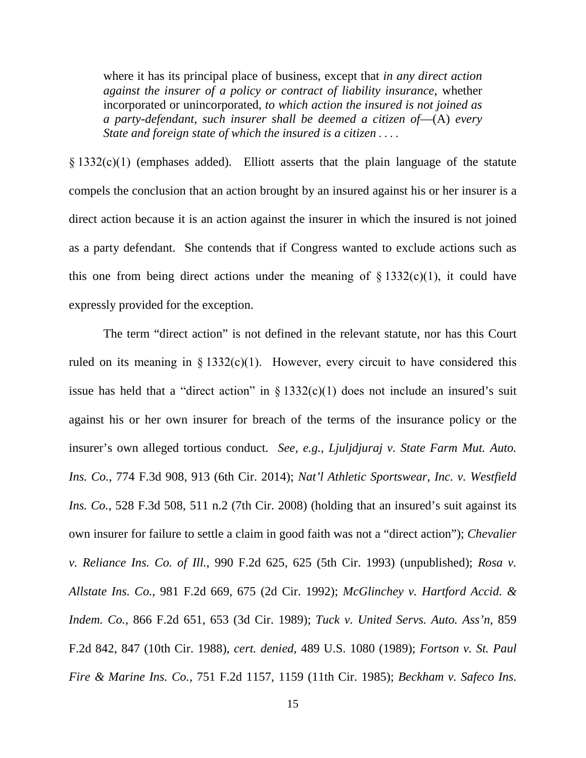where it has its principal place of business, except that *in any direct action against the insurer of a policy or contract of liability insurance*, whether incorporated or unincorporated, *to which action the insured is not joined as a party-defendant*, *such insurer shall be deemed a citizen of*—(A) *every State and foreign state of which the insured is a citizen* . . . .

§ 1332(c)(1) (emphases added). Elliott asserts that the plain language of the statute compels the conclusion that an action brought by an insured against his or her insurer is a direct action because it is an action against the insurer in which the insured is not joined as a party defendant. She contends that if Congress wanted to exclude actions such as this one from being direct actions under the meaning of  $\S$  1332(c)(1), it could have expressly provided for the exception.

The term "direct action" is not defined in the relevant statute, nor has this Court ruled on its meaning in  $\S 1332(c)(1)$ . However, every circuit to have considered this issue has held that a "direct action" in  $\S$  1332(c)(1) does not include an insured's suit against his or her own insurer for breach of the terms of the insurance policy or the insurer's own alleged tortious conduct. *See, e.g.*, *Ljuljdjuraj v. State Farm Mut. Auto. Ins. Co.*, 774 F.3d 908, 913 (6th Cir. 2014); *Nat'l Athletic Sportswear, Inc. v. Westfield Ins. Co.*, 528 F.3d 508, 511 n.2 (7th Cir. 2008) (holding that an insured's suit against its own insurer for failure to settle a claim in good faith was not a "direct action"); *Chevalier v. Reliance Ins. Co. of Ill.*, 990 F.2d 625, 625 (5th Cir. 1993) (unpublished); *Rosa v. Allstate Ins. Co.*, 981 F.2d 669, 675 (2d Cir. 1992); *McGlinchey v. Hartford Accid. & Indem. Co.*, 866 F.2d 651, 653 (3d Cir. 1989); *Tuck v. United Servs. Auto. Ass'n*, 859 F.2d 842, 847 (10th Cir. 1988), *cert. denied*, 489 U.S. 1080 (1989); *Fortson v. St. Paul Fire & Marine Ins. Co.*, 751 F.2d 1157, 1159 (11th Cir. 1985); *Beckham v. Safeco Ins.*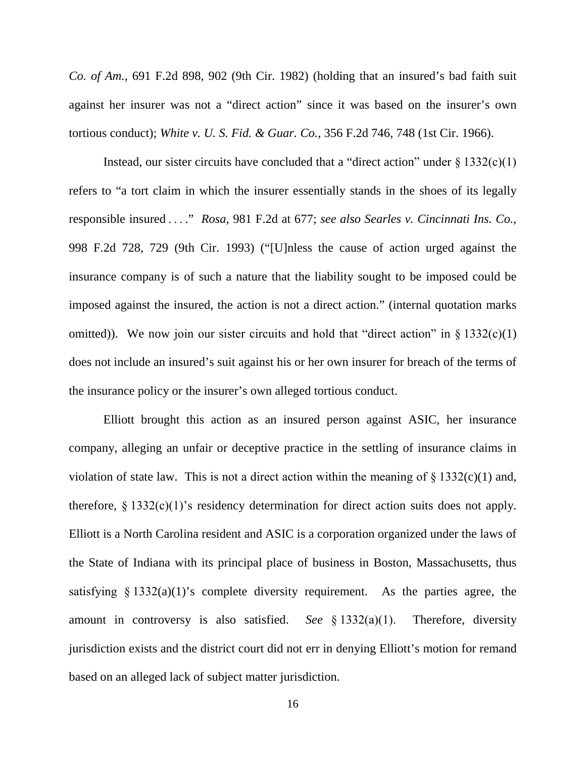*Co. of Am.*, 691 F.2d 898, 902 (9th Cir. 1982) (holding that an insured's bad faith suit against her insurer was not a "direct action" since it was based on the insurer's own tortious conduct); *White v. U. S. Fid. & Guar. Co.*, 356 F.2d 746, 748 (1st Cir. 1966).

Instead, our sister circuits have concluded that a "direct action" under  $\S 1332(c)(1)$ refers to "a tort claim in which the insurer essentially stands in the shoes of its legally responsible insured . . . ." *Rosa*, 981 F.2d at 677; *see also Searles v. Cincinnati Ins. Co.*, 998 F.2d 728, 729 (9th Cir. 1993) ("[U]nless the cause of action urged against the insurance company is of such a nature that the liability sought to be imposed could be imposed against the insured, the action is not a direct action." (internal quotation marks omitted)). We now join our sister circuits and hold that "direct action" in  $\S$  1332(c)(1) does not include an insured's suit against his or her own insurer for breach of the terms of the insurance policy or the insurer's own alleged tortious conduct.

Elliott brought this action as an insured person against ASIC, her insurance company, alleging an unfair or deceptive practice in the settling of insurance claims in violation of state law. This is not a direct action within the meaning of  $\S 1332(c)(1)$  and, therefore,  $\S 1332(c)(1)$ 's residency determination for direct action suits does not apply. Elliott is a North Carolina resident and ASIC is a corporation organized under the laws of the State of Indiana with its principal place of business in Boston, Massachusetts, thus satisfying  $\S 1332(a)(1)$ 's complete diversity requirement. As the parties agree, the amount in controversy is also satisfied. *See* § 1332(a)(1). Therefore, diversity jurisdiction exists and the district court did not err in denying Elliott's motion for remand based on an alleged lack of subject matter jurisdiction.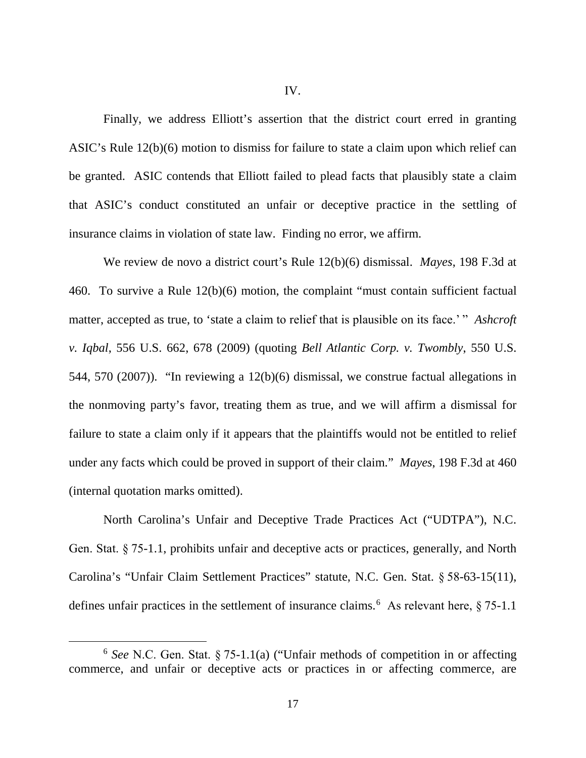Finally, we address Elliott's assertion that the district court erred in granting ASIC's Rule 12(b)(6) motion to dismiss for failure to state a claim upon which relief can be granted. ASIC contends that Elliott failed to plead facts that plausibly state a claim that ASIC's conduct constituted an unfair or deceptive practice in the settling of insurance claims in violation of state law. Finding no error, we affirm.

We review de novo a district court's Rule 12(b)(6) dismissal. *Mayes*, 198 F.3d at 460. To survive a Rule 12(b)(6) motion, the complaint "must contain sufficient factual matter, accepted as true, to 'state a claim to relief that is plausible on its face.' " *Ashcroft v. Iqbal*, 556 U.S. 662, 678 (2009) (quoting *Bell Atlantic Corp. v. Twombly*, 550 U.S. 544, 570 (2007)). "In reviewing a 12(b)(6) dismissal, we construe factual allegations in the nonmoving party's favor, treating them as true, and we will affirm a dismissal for failure to state a claim only if it appears that the plaintiffs would not be entitled to relief under any facts which could be proved in support of their claim." *Mayes*, 198 F.3d at 460 (internal quotation marks omitted).

North Carolina's Unfair and Deceptive Trade Practices Act ("UDTPA"), N.C. Gen. Stat. § 75-1.1, prohibits unfair and deceptive acts or practices, generally, and North Carolina's "Unfair Claim Settlement Practices" statute, N.C. Gen. Stat. § 58-63-15(11), defines unfair practices in the settlement of insurance claims.<sup>[6](#page-16-0)</sup> As relevant here, § 75-1.1

<span id="page-16-0"></span> <sup>6</sup> *See* N.C. Gen. Stat. § 75-1.1(a) ("Unfair methods of competition in or affecting commerce, and unfair or deceptive acts or practices in or affecting commerce, are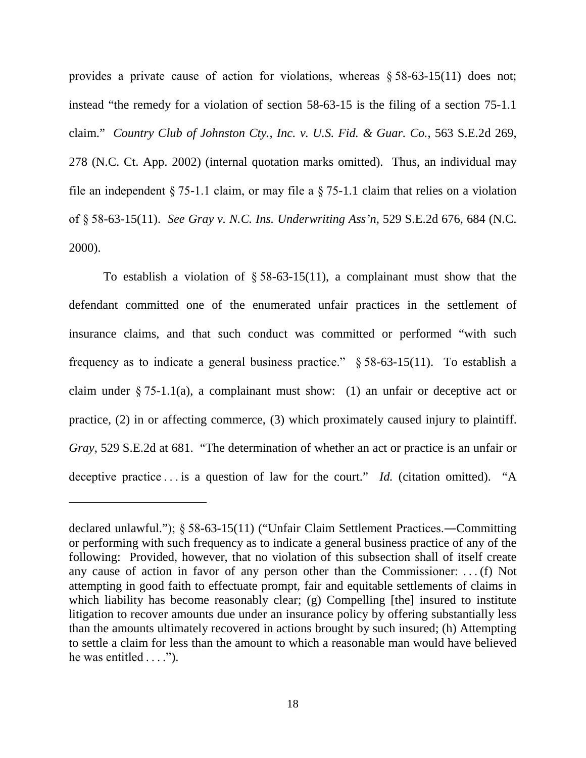provides a private cause of action for violations, whereas § 58-63-15(11) does not; instead "the remedy for a violation of section 58-63-15 is the filing of a section 75-1.1 claim." *Country Club of Johnston Cty., Inc. v. U.S. Fid. & Guar. Co.*, 563 S.E.2d 269, 278 (N.C. Ct. App. 2002) (internal quotation marks omitted). Thus, an individual may file an independent § 75-1.1 claim, or may file a § 75-1.1 claim that relies on a violation of § 58-63-15(11). *See Gray v. N.C. Ins. Underwriting Ass'n*, 529 S.E.2d 676, 684 (N.C. 2000).

To establish a violation of  $\S 58-63-15(11)$ , a complainant must show that the defendant committed one of the enumerated unfair practices in the settlement of insurance claims, and that such conduct was committed or performed "with such frequency as to indicate a general business practice."  $\S 58-63-15(11)$ . To establish a claim under  $\S 75-1.1(a)$ , a complainant must show: (1) an unfair or deceptive act or practice, (2) in or affecting commerce, (3) which proximately caused injury to plaintiff. *Gray*, 529 S.E.2d at 681. "The determination of whether an act or practice is an unfair or deceptive practice . . . is a question of law for the court." *Id.* (citation omitted). "A

 $\overline{a}$ 

declared unlawful."); § 58-63-15(11) ("Unfair Claim Settlement Practices.―Committing or performing with such frequency as to indicate a general business practice of any of the following: Provided, however, that no violation of this subsection shall of itself create any cause of action in favor of any person other than the Commissioner:  . . . (f) Not attempting in good faith to effectuate prompt, fair and equitable settlements of claims in which liability has become reasonably clear; (g) Compelling [the] insured to institute litigation to recover amounts due under an insurance policy by offering substantially less than the amounts ultimately recovered in actions brought by such insured; (h) Attempting to settle a claim for less than the amount to which a reasonable man would have believed he was entitled . . . .").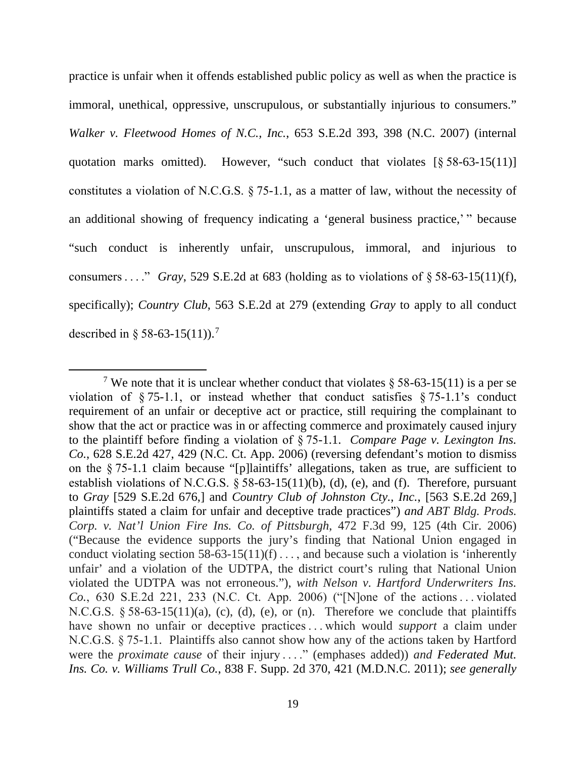practice is unfair when it offends established public policy as well as when the practice is immoral, unethical, oppressive, unscrupulous, or substantially injurious to consumers." *Walker v. Fleetwood Homes of N.C., Inc.*, 653 S.E.2d 393, 398 (N.C. 2007) (internal quotation marks omitted). However, "such conduct that violates  $\lceil \S 58 - 63 - 15(11) \rceil$ constitutes a violation of N.C.G.S. § 75-1.1, as a matter of law, without the necessity of an additional showing of frequency indicating a 'general business practice,' " because "such conduct is inherently unfair, unscrupulous, immoral, and injurious to consumers . . . . " *Gray*, 529 S.E.2d at 683 (holding as to violations of  $\S$  58-63-15(11)(f), specifically); *Country Club*, 563 S.E.2d at 279 (extending *Gray* to apply to all conduct described in § 58-63-15(11)).<sup>[7](#page-18-0)</sup>

<span id="page-18-0"></span><sup>&</sup>lt;sup>7</sup> We note that it is unclear whether conduct that violates  $\S$  58-63-15(11) is a per se violation of § 75-1.1, or instead whether that conduct satisfies § 75-1.1's conduct requirement of an unfair or deceptive act or practice, still requiring the complainant to show that the act or practice was in or affecting commerce and proximately caused injury to the plaintiff before finding a violation of § 75-1.1. *Compare Page v. Lexington Ins. Co.*, 628 S.E.2d 427, 429 (N.C. Ct. App. 2006) (reversing defendant's motion to dismiss on the § 75-1.1 claim because "[p]laintiffs' allegations, taken as true, are sufficient to establish violations of N.C.G.S. § 58-63-15(11)(b), (d), (e), and (f). Therefore, pursuant to *Gray* [529 S.E.2d 676,] and *Country Club of Johnston Cty., Inc.*, [563 S.E.2d 269,] plaintiffs stated a claim for unfair and deceptive trade practices") *and ABT Bldg. Prods. Corp. v. Nat'l Union Fire Ins. Co. of Pittsburgh*, 472 F.3d 99, 125 (4th Cir. 2006) ("Because the evidence supports the jury's finding that National Union engaged in conduct violating [section 58-63-15\(11\)\(f\)](https://1.next.westlaw.com/Link/Document/FullText?findType=L&pubNum=1000037&cite=NCSTS58-63-15&originatingDoc=I5bbe5f088f7511db9127cf4cfcf88547&refType=LQ&originationContext=document&transitionType=DocumentItem&contextData=(sc.Keycite)) . . . , and because such a violation is 'inherently unfair' and a violation of the UDTPA, the district court's ruling that National Union violated the UDTPA was not erroneous."), *with Nelson v. Hartford Underwriters Ins. Co.*, 630 S.E.2d 221, 233 (N.C. Ct. App. 2006) ("[N]one of the actions . . . violated N.C.G.S.  $\S 58-63-15(11)(a)$ , (c), (d), (e), or (n). Therefore we conclude that plaintiffs have shown no unfair or deceptive practices . . . which would *support* a claim under N.C.G.S. § 75-1.1. Plaintiffs also cannot show how any of the actions taken by Hartford were the *proximate cause* of their injury . . . " (emphases added)) *and Federated Mut. Ins. Co. v. Williams Trull Co.*, 838 F. Supp. 2d 370, 421 (M.D.N.C. 2011); *see generally*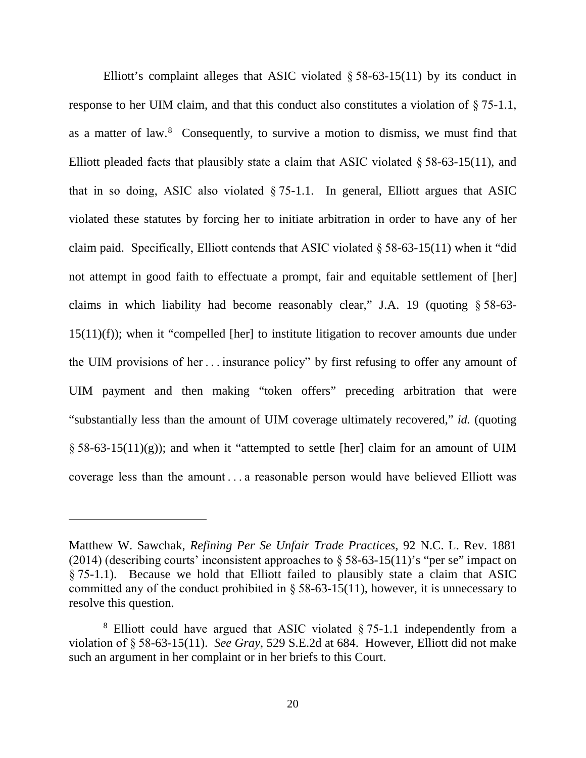Elliott's complaint alleges that ASIC violated  $\S 58-63-15(11)$  by its conduct in response to her UIM claim, and that this conduct also constitutes a violation of § 75-1.1, as a matter of law. [8](#page-19-0) Consequently, to survive a motion to dismiss, we must find that Elliott pleaded facts that plausibly state a claim that ASIC violated  $\S 58-63-15(11)$ , and that in so doing, ASIC also violated § 75-1.1. In general, Elliott argues that ASIC violated these statutes by forcing her to initiate arbitration in order to have any of her claim paid. Specifically, Elliott contends that ASIC violated § 58-63-15(11) when it "did not attempt in good faith to effectuate a prompt, fair and equitable settlement of [her] claims in which liability had become reasonably clear," J.A. 19 (quoting § 58-63- 15(11)(f)); when it "compelled [her] to institute litigation to recover amounts due under the UIM provisions of her . . . insurance policy" by first refusing to offer any amount of UIM payment and then making "token offers" preceding arbitration that were "substantially less than the amount of UIM coverage ultimately recovered," *id.* (quoting  $\S 58-63-15(11)(g)$ ; and when it "attempted to settle [her] claim for an amount of UIM coverage less than the amount . . . a reasonable person would have believed Elliott was

 $\overline{a}$ 

Matthew W. Sawchak, *Refining Per Se Unfair Trade Practices*, 92 N.C. L. Rev. 1881 (2014) (describing courts' inconsistent approaches to  $\S 58-63-15(11)'$  s "per se" impact on § 75-1.1). Because we hold that Elliott failed to plausibly state a claim that ASIC committed any of the conduct prohibited in § 58-63-15(11), however, it is unnecessary to resolve this question.

<span id="page-19-0"></span><sup>8</sup> Elliott could have argued that ASIC violated § 75-1.1 independently from a violation of § 58-63-15(11). *See Gray*, 529 S.E.2d at 684. However, Elliott did not make such an argument in her complaint or in her briefs to this Court.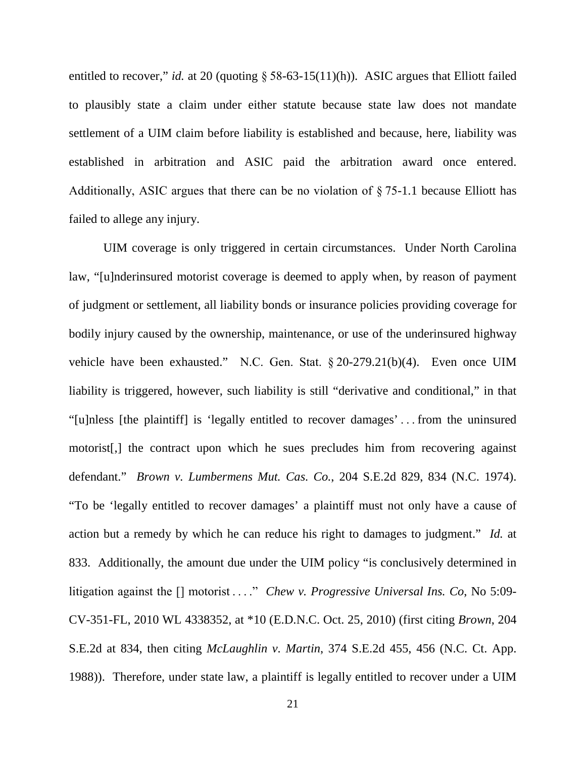entitled to recover," *id.* at 20 (quoting § 58-63-15(11)(h)). ASIC argues that Elliott failed to plausibly state a claim under either statute because state law does not mandate settlement of a UIM claim before liability is established and because, here, liability was established in arbitration and ASIC paid the arbitration award once entered. Additionally, ASIC argues that there can be no violation of § 75-1.1 because Elliott has failed to allege any injury.

UIM coverage is only triggered in certain circumstances. Under North Carolina law, "[u]nderinsured motorist coverage is deemed to apply when, by reason of payment of judgment or settlement, all liability bonds or insurance policies providing coverage for bodily injury caused by the ownership, maintenance, or use of the underinsured highway vehicle have been exhausted." [N.C. Gen. Stat. § 20](https://1.next.westlaw.com/Link/Document/FullText?findType=L&pubNum=1000037&cite=NCSTS20-279.21&originatingDoc=I63e053388ad511e490d4edf60ce7d742&refType=SP&originationContext=document&transitionType=DocumentItem&contextData=(sc.Search)#co_pp_6ad60000aeea7)-279.21(b)(4). Even once UIM liability is triggered, however, such liability is still "derivative and conditional," in that "[u]nless [the plaintiff] is 'legally entitled to recover damages' . . . from the uninsured motorist[,] the contract upon which he sues precludes him from recovering against defendant." *Brown v. Lumbermens Mut. Cas. Co.*, 204 S.E.2d 829, 834 (N.C. 1974). "To be 'legally entitled to recover damages' a plaintiff must not only have a cause of action but a remedy by which he can reduce his right to damages to judgment." *Id.* at 833. Additionally, the amount due under the UIM policy "is conclusively determined in litigation against the [] motorist . . . " *Chew v. Progressive Universal Ins. Co*, No 5:09-CV-351-FL, 2010 WL 4338352, at \*10 (E.D.N.C. Oct. 25, 2010) (first citing *Brown*, 204 S.E.2d at 834, then citing *McLaughlin v. Martin*, 374 S.E.2d 455, 456 (N.C. Ct. App. 1988)). Therefore, under state law, a plaintiff is legally entitled to recover under a UIM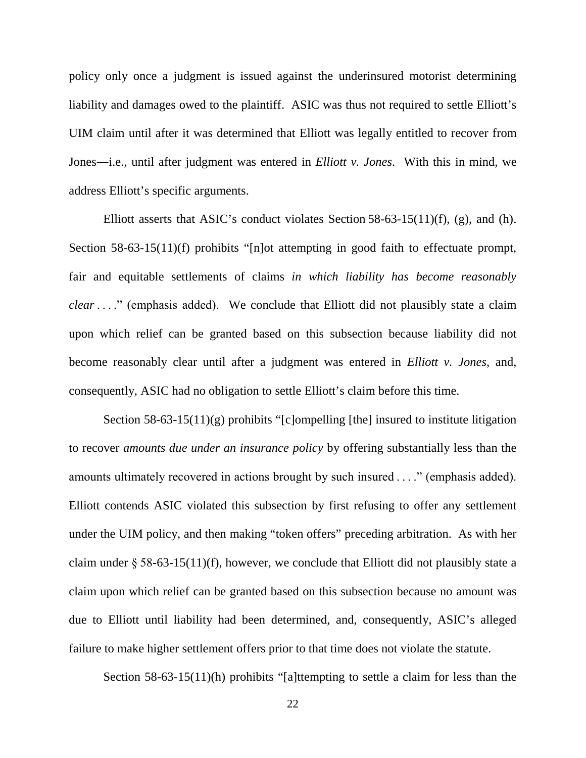policy only once a judgment is issued against the underinsured motorist determining liability and damages owed to the plaintiff. ASIC was thus not required to settle Elliott's UIM claim until after it was determined that Elliott was legally entitled to recover from Jones―i.e., until after judgment was entered in *Elliott v. Jones*. With this in mind, we address Elliott's specific arguments.

Elliott asserts that ASIC's conduct violates Section 58-63-15(11)(f), (g), and (h). Section 58-63-15(11)(f) prohibits "[n]ot attempting in good faith to effectuate prompt, fair and equitable settlements of claims *in which liability has become reasonably clear* . . . ." (emphasis added). We conclude that Elliott did not plausibly state a claim upon which relief can be granted based on this subsection because liability did not become reasonably clear until after a judgment was entered in *Elliott v. Jones*, and, consequently, ASIC had no obligation to settle Elliott's claim before this time.

Section 58-63-15(11)(g) prohibits "[c]ompelling [the] insured to institute litigation to recover *amounts due under an insurance policy* by offering substantially less than the amounts ultimately recovered in actions brought by such insured . . . ." (emphasis added). Elliott contends ASIC violated this subsection by first refusing to offer any settlement under the UIM policy, and then making "token offers" preceding arbitration. As with her claim under § 58-63-15(11)(f), however, we conclude that Elliott did not plausibly state a claim upon which relief can be granted based on this subsection because no amount was due to Elliott until liability had been determined, and, consequently, ASIC's alleged failure to make higher settlement offers prior to that time does not violate the statute.

Section 58-63-15(11)(h) prohibits "[a]ttempting to settle a claim for less than the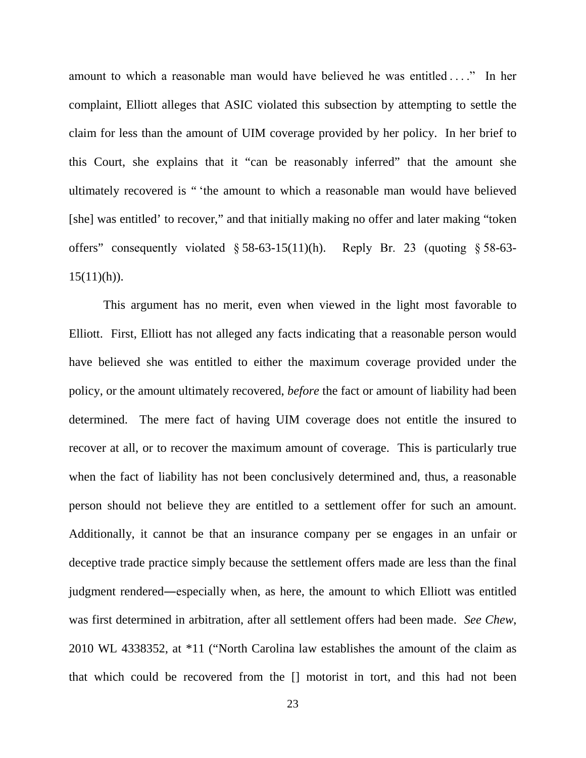amount to which a reasonable man would have believed he was entitled . . . ." In her complaint, Elliott alleges that ASIC violated this subsection by attempting to settle the claim for less than the amount of UIM coverage provided by her policy. In her brief to this Court, she explains that it "can be reasonably inferred" that the amount she ultimately recovered is " 'the amount to which a reasonable man would have believed [she] was entitled' to recover," and that initially making no offer and later making "token offers" consequently violated § 58-63-15(11)(h). Reply Br. 23 (quoting § 58-63-  $15(11)(h)$ .

This argument has no merit, even when viewed in the light most favorable to Elliott. First, Elliott has not alleged any facts indicating that a reasonable person would have believed she was entitled to either the maximum coverage provided under the policy, or the amount ultimately recovered, *before* the fact or amount of liability had been determined. The mere fact of having UIM coverage does not entitle the insured to recover at all, or to recover the maximum amount of coverage. This is particularly true when the fact of liability has not been conclusively determined and, thus, a reasonable person should not believe they are entitled to a settlement offer for such an amount. Additionally, it cannot be that an insurance company per se engages in an unfair or deceptive trade practice simply because the settlement offers made are less than the final judgment rendered―especially when, as here, the amount to which Elliott was entitled was first determined in arbitration, after all settlement offers had been made. *See Chew*, 2010 WL 4338352, at \*11 ("North Carolina law establishes the amount of the claim as that which could be recovered from the [] motorist in tort, and this had not been